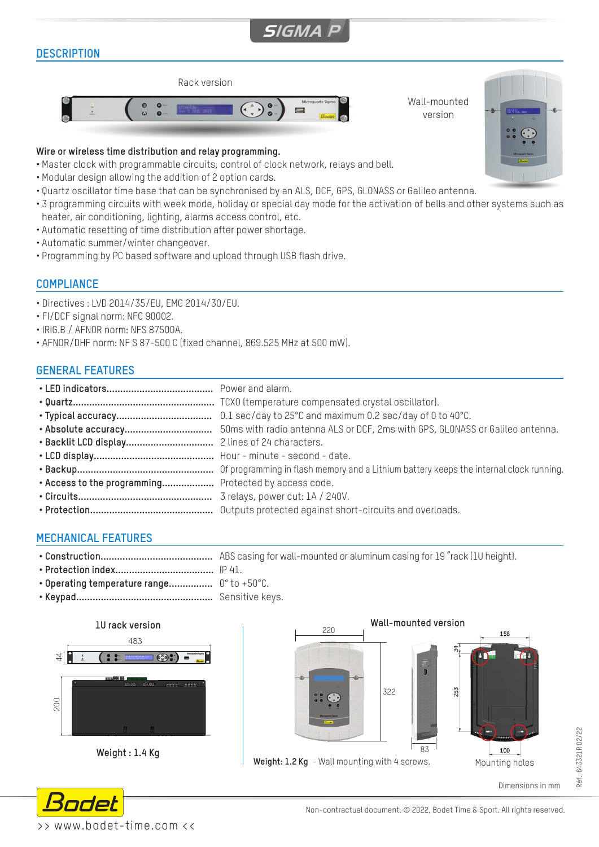# **SIGMA**

# **DESCRIPTION**



#### **Wire or wireless time distribution and relay programming.**

- Master clock with programmable circuits, control of clock network, relays and bell.
- Modular design allowing the addition of 2 option cards.
- Quartz oscillator time base that can be synchronised by an ALS, DCF, GPS, GLONASS or Galileo antenna.
- 3 programming circuits with week mode, holiday or special day mode for the activation of bells and other systems such as heater, air conditioning, lighting, alarms access control, etc.
- Automatic resetting of time distribution after power shortage.
- Automatic summer/winter changeover.
- Programming by PC based software and upload through USB flash drive.

#### **COMPLIANCE**

- Directives : LVD 2014/35/EU, EMC 2014/30/EU.
- FI/DCF signal norm: NFC 90002.
- IRIG.B / AFNOR norm: NFS 87500A.
- AFNOR/DHF norm: NF S 87-500 C (fixed channel, 869.525 MHz at 500 mW).

#### **GENERAL FEATURES**

- **• LED indicators.......................................** Power and alarm.
- **• Quartz....................................................** TCXO (temperature compensated crystal oscillator).
- **• Typical accuracy...................................** 0.1 sec/day to 25°C and maximum 0.2 sec/day of 0 to 40°C.
- **• Absolute accuracy................................** 50ms with radio antenna ALS or DCF, 2ms with GPS, GLONASS or Galileo antenna.
- **• Backlit LCD display................................** 2 lines of 24 characters.
- **• LCD display............................................** Hour minute second date.
- **• Backup..................................................** Of programming in flash memory and a Lithium battery keeps the internal clock running. **• Access to the programming...................** Protected by access code.
- **• Circuits.................................................** 3 relays, power cut: 1A / 240V.
- **• Protection.............................................** Outputs protected against short-circuits and overloads.

# **MECHANICAL FEATURES**

- **• Construction.........................................** ABS casing for wall-mounted or aluminum casing for 19 "rack (1U height).
- **• Protection index....................................** IP 41.
- **• Operating temperature range................** 0° to +50°C.
- **• Keypad..................................................** Sensitive keys.





Dimensions in mm

Wall-mounted version